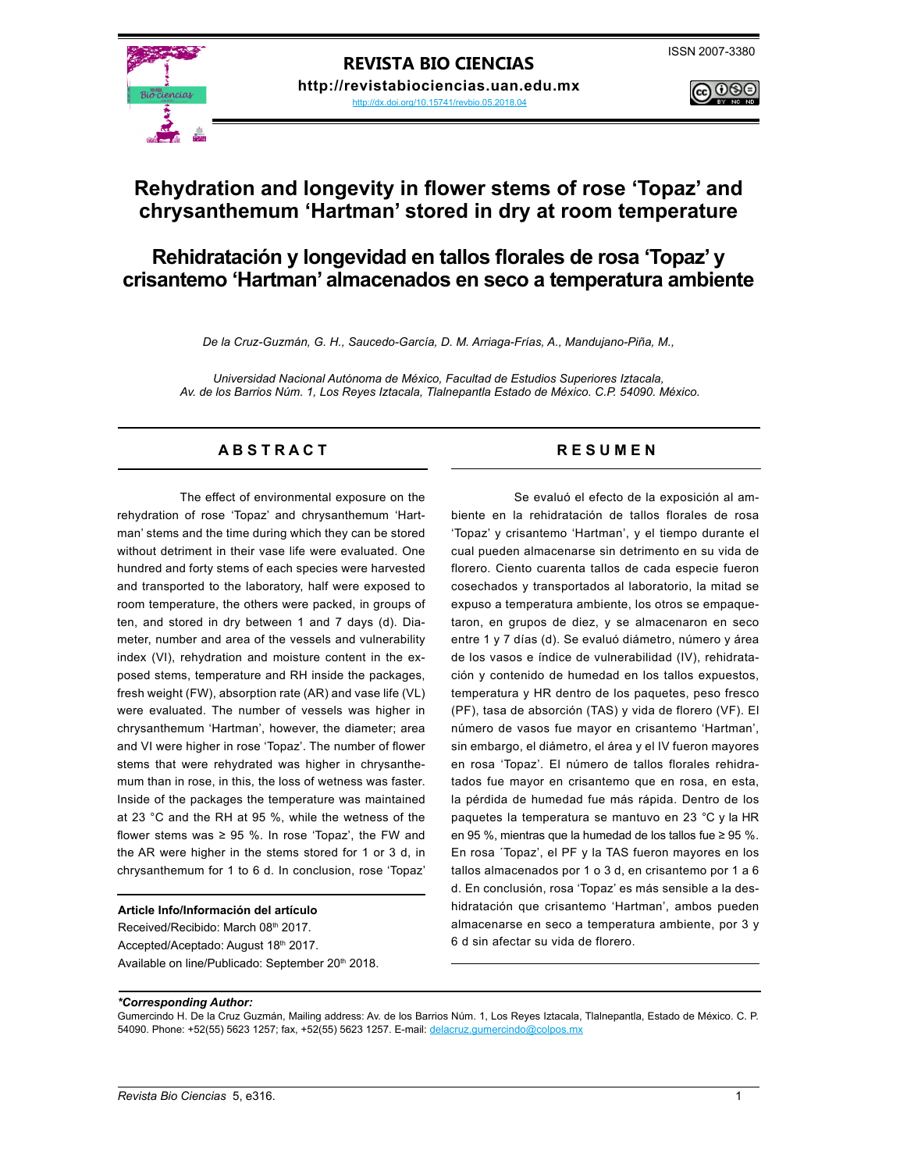

**REVISTA BIO CIENCIAS http://revistabiociencias.uan.edu.mx**  <http://dx.doi.org/10.15741/revbio.05.2018.04>



# **Rehydration and longevity in flower stems of rose 'Topaz' and chrysanthemum 'Hartman' stored in dry at room temperature**

# **Rehidratación y longevidad en tallos florales de rosa 'Topaz' y crisantemo 'Hartman' almacenados en seco a temperatura ambiente**

*De la Cruz-Guzmán, G. H., Saucedo-García, D. M. Arriaga-Frías, A., Mandujano-Piña, M.,* 

*Universidad Nacional Autónoma de México, Facultad de Estudios Superiores Iztacala, Av. de los Barrios Núm. 1, Los Reyes Iztacala, Tlalnepantla Estado de México. C.P. 54090. México.*

# A B S T R A C T RESUMEN

The effect of environmental exposure on the rehydration of rose 'Topaz' and chrysanthemum 'Hartman' stems and the time during which they can be stored without detriment in their vase life were evaluated. One hundred and forty stems of each species were harvested and transported to the laboratory, half were exposed to room temperature, the others were packed, in groups of ten, and stored in dry between 1 and 7 days (d). Diameter, number and area of the vessels and vulnerability index (VI), rehydration and moisture content in the exposed stems, temperature and RH inside the packages, fresh weight (FW), absorption rate (AR) and vase life (VL) were evaluated. The number of vessels was higher in chrysanthemum 'Hartman', however, the diameter; area and VI were higher in rose 'Topaz'. The number of flower stems that were rehydrated was higher in chrysanthemum than in rose, in this, the loss of wetness was faster. Inside of the packages the temperature was maintained at 23 °C and the RH at 95 %, while the wetness of the flower stems was  $\geq$  95 %. In rose 'Topaz', the FW and the AR were higher in the stems stored for 1 or 3 d, in chrysanthemum for 1 to 6 d. In conclusion, rose 'Topaz'

### **Article Info/Información del artículo**

Received/Recibido: March 08th 2017. Accepted/Aceptado: August 18th 2017. Available on line/Publicado: September 20th 2018.

Se evaluó el efecto de la exposición al ambiente en la rehidratación de tallos florales de rosa 'Topaz' y crisantemo 'Hartman', y el tiempo durante el cual pueden almacenarse sin detrimento en su vida de florero. Ciento cuarenta tallos de cada especie fueron cosechados y transportados al laboratorio, la mitad se expuso a temperatura ambiente, los otros se empaquetaron, en grupos de diez, y se almacenaron en seco entre 1 y 7 días (d). Se evaluó diámetro, número y área de los vasos e índice de vulnerabilidad (IV), rehidratación y contenido de humedad en los tallos expuestos, temperatura y HR dentro de los paquetes, peso fresco (PF), tasa de absorción (TAS) y vida de florero (VF). El número de vasos fue mayor en crisantemo 'Hartman', sin embargo, el diámetro, el área y el IV fueron mayores en rosa 'Topaz'. El número de tallos florales rehidratados fue mayor en crisantemo que en rosa, en esta, la pérdida de humedad fue más rápida. Dentro de los paquetes la temperatura se mantuvo en 23 °C y la HR en 95 %, mientras que la humedad de los tallos fue ≥ 95 %. En rosa ´Topaz', el PF y la TAS fueron mayores en los tallos almacenados por 1 o 3 d, en crisantemo por 1 a 6 d. En conclusión, rosa 'Topaz' es más sensible a la deshidratación que crisantemo 'Hartman', ambos pueden almacenarse en seco a temperatura ambiente, por 3 y 6 d sin afectar su vida de florero.

#### *\*Corresponding Author:*

Gumercindo H. De la Cruz Guzmán, Mailing address: Av. de los Barrios Núm. 1, Los Reyes Iztacala, Tlalnepantla, Estado de México. C. P. 54090. Phone: +52(55) 5623 1257; fax, +52(55) 5623 1257. E-mail: delacruz.gumercindo@colpos.mx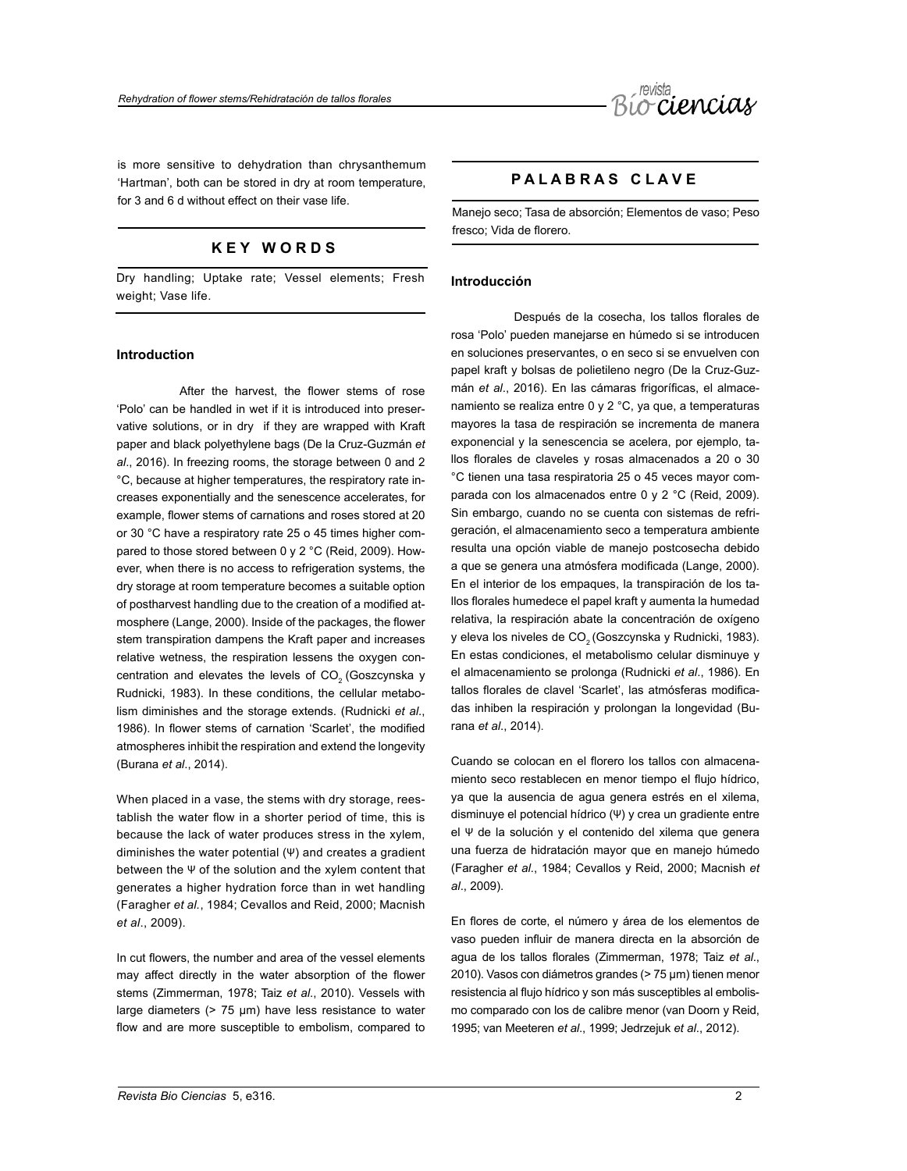

is more sensitive to dehydration than chrysanthemum 'Hartman', both can be stored in dry at room temperature, for 3 and 6 d without effect on their vase life.

# **K E Y W O R D S**

Dry handling; Uptake rate; Vessel elements; Fresh weight; Vase life.

# **Introduction**

After the harvest, the flower stems of rose 'Polo' can be handled in wet if it is introduced into preservative solutions, or in dry if they are wrapped with Kraft paper and black polyethylene bags (De la Cruz-Guzmán *et al*., 2016). In freezing rooms, the storage between 0 and 2 °C, because at higher temperatures, the respiratory rate increases exponentially and the senescence accelerates, for example, flower stems of carnations and roses stored at 20 or 30 °C have a respiratory rate 25 o 45 times higher compared to those stored between 0 y 2 °C (Reid, 2009). However, when there is no access to refrigeration systems, the dry storage at room temperature becomes a suitable option of postharvest handling due to the creation of a modified atmosphere (Lange, 2000). Inside of the packages, the flower stem transpiration dampens the Kraft paper and increases relative wetness, the respiration lessens the oxygen concentration and elevates the levels of CO<sub>2</sub> (Goszcynska y Rudnicki, 1983). In these conditions, the cellular metabolism diminishes and the storage extends. (Rudnicki *et al*., 1986). In flower stems of carnation 'Scarlet', the modified atmospheres inhibit the respiration and extend the longevity (Burana *et al*., 2014).

When placed in a vase, the stems with dry storage, reestablish the water flow in a shorter period of time, this is because the lack of water produces stress in the xylem, diminishes the water potential (Ψ) and creates a gradient between the Ψ of the solution and the xylem content that generates a higher hydration force than in wet handling (Faragher *et al.*, 1984; Cevallos and Reid, 2000; Macnish *et al*., 2009).

In cut flowers, the number and area of the vessel elements may affect directly in the water absorption of the flower stems (Zimmerman, 1978; Taiz *et al*., 2010). Vessels with large diameters ( $> 75 \mu m$ ) have less resistance to water flow and are more susceptible to embolism, compared to

# **P A L A B R A S C L A V E**

Manejo seco; Tasa de absorción; Elementos de vaso; Peso fresco; Vida de florero.

# **Introducción**

Después de la cosecha, los tallos florales de rosa 'Polo' pueden manejarse en húmedo si se introducen en soluciones preservantes, o en seco si se envuelven con papel kraft y bolsas de polietileno negro (De la Cruz-Guzmán *et al*., 2016). En las cámaras frigoríficas, el almacenamiento se realiza entre 0 y 2 °C, ya que, a temperaturas mayores la tasa de respiración se incrementa de manera exponencial y la senescencia se acelera, por ejemplo, tallos florales de claveles y rosas almacenados a 20 o 30 °C tienen una tasa respiratoria 25 o 45 veces mayor comparada con los almacenados entre 0 y 2 °C (Reid, 2009). Sin embargo, cuando no se cuenta con sistemas de refrigeración, el almacenamiento seco a temperatura ambiente resulta una opción viable de manejo postcosecha debido a que se genera una atmósfera modificada (Lange, 2000). En el interior de los empaques, la transpiración de los tallos florales humedece el papel kraft y aumenta la humedad relativa, la respiración abate la concentración de oxígeno y eleva los niveles de CO<sub>2</sub> (Goszcynska y Rudnicki, 1983). En estas condiciones, el metabolismo celular disminuye y el almacenamiento se prolonga (Rudnicki *et al*., 1986). En tallos florales de clavel 'Scarlet', las atmósferas modificadas inhiben la respiración y prolongan la longevidad (Burana *et al*., 2014).

Cuando se colocan en el florero los tallos con almacenamiento seco restablecen en menor tiempo el flujo hídrico, ya que la ausencia de agua genera estrés en el xilema, disminuye el potencial hídrico (Ψ) y crea un gradiente entre el Ψ de la solución y el contenido del xilema que genera una fuerza de hidratación mayor que en manejo húmedo (Faragher *et al.*, 1984; Cevallos y Reid, 2000; Macnish *et al*., 2009).

En flores de corte, el número y área de los elementos de vaso pueden influir de manera directa en la absorción de agua de los tallos florales (Zimmerman, 1978; Taiz *et al*., 2010). Vasos con diámetros grandes (> 75 µm) tienen menor resistencia al flujo hídrico y son más susceptibles al embolismo comparado con los de calibre menor (van Doorn y Reid, 1995; van Meeteren *et al*., 1999; Jedrzejuk *et al*., 2012).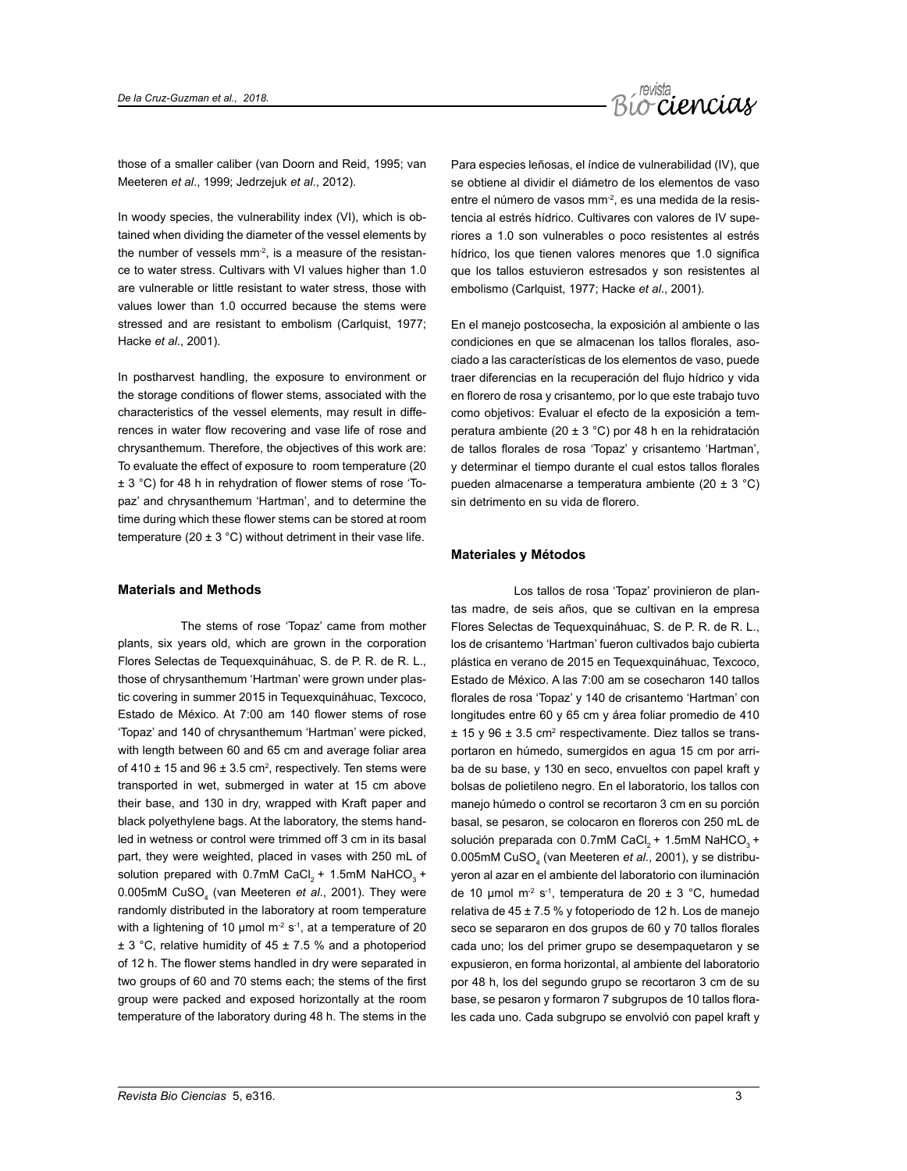

those of a smaller caliber (van Doorn and Reid, 1995; van Meeteren *et al*., 1999; Jedrzejuk *et al*., 2012).

In woody species, the vulnerability index (VI), which is obtained when dividing the diameter of the vessel elements by the number of vessels  $mm<sup>2</sup>$ , is a measure of the resistance to water stress. Cultivars with VI values higher than 1.0 are vulnerable or little resistant to water stress, those with values lower than 1.0 occurred because the stems were stressed and are resistant to embolism (Carlquist, 1977; Hacke *et al*., 2001).

In postharvest handling, the exposure to environment or the storage conditions of flower stems, associated with the characteristics of the vessel elements, may result in differences in water flow recovering and vase life of rose and chrysanthemum. Therefore, the objectives of this work are: To evaluate the effect of exposure to room temperature (20 ± 3 °C) for 48 h in rehydration of flower stems of rose 'Topaz' and chrysanthemum 'Hartman', and to determine the time during which these flower stems can be stored at room temperature (20  $\pm$  3 °C) without detriment in their vase life.

### **Materials and Methods**

The stems of rose 'Topaz' came from mother plants, six years old, which are grown in the corporation Flores Selectas de Tequexquináhuac, S. de P. R. de R. L., those of chrysanthemum 'Hartman' were grown under plastic covering in summer 2015 in Tequexquináhuac, Texcoco, Estado de México. At 7:00 am 140 flower stems of rose 'Topaz' and 140 of chrysanthemum 'Hartman' were picked, with length between 60 and 65 cm and average foliar area of 410  $\pm$  15 and 96  $\pm$  3.5 cm<sup>2</sup>, respectively. Ten stems were transported in wet, submerged in water at 15 cm above their base, and 130 in dry, wrapped with Kraft paper and black polyethylene bags. At the laboratory, the stems handled in wetness or control were trimmed off 3 cm in its basal part, they were weighted, placed in vases with 250 mL of solution prepared with  $0.7$ mM CaCl<sub>3</sub> + 1.5mM NaHCO<sub>3</sub> + 0.005mM CuSO<sub>4</sub> (van Meeteren et al., 2001). They were randomly distributed in the laboratory at room temperature with a lightening of 10 µmol  $m<sup>2</sup> s<sup>-1</sup>$ , at a temperature of 20 ± 3 °C, relative humidity of 45 ± 7.5 % and a photoperiod of 12 h. The flower stems handled in dry were separated in two groups of 60 and 70 stems each; the stems of the first group were packed and exposed horizontally at the room temperature of the laboratory during 48 h. The stems in the

Para especies leñosas, el índice de vulnerabilidad (IV), que se obtiene al dividir el diámetro de los elementos de vaso entre el número de vasos mm<sup>-2</sup>, es una medida de la resistencia al estrés hídrico. Cultivares con valores de IV superiores a 1.0 son vulnerables o poco resistentes al estrés hídrico, los que tienen valores menores que 1.0 significa que los tallos estuvieron estresados y son resistentes al embolismo (Carlquist, 1977; Hacke *et al*., 2001).

En el manejo postcosecha, la exposición al ambiente o las condiciones en que se almacenan los tallos florales, asociado a las características de los elementos de vaso, puede traer diferencias en la recuperación del flujo hídrico y vida en florero de rosa y crisantemo, por lo que este trabajo tuvo como objetivos: Evaluar el efecto de la exposición a temperatura ambiente (20 ± 3 °C) por 48 h en la rehidratación de tallos florales de rosa 'Topaz' y crisantemo 'Hartman', y determinar el tiempo durante el cual estos tallos florales pueden almacenarse a temperatura ambiente (20 ± 3 °C) sin detrimento en su vida de florero.

# **Materiales y Métodos**

Los tallos de rosa 'Topaz' provinieron de plantas madre, de seis años, que se cultivan en la empresa Flores Selectas de Tequexquináhuac, S. de P. R. de R. L., los de crisantemo 'Hartman' fueron cultivados bajo cubierta plástica en verano de 2015 en Tequexquináhuac, Texcoco, Estado de México. A las 7:00 am se cosecharon 140 tallos florales de rosa 'Topaz' y 140 de crisantemo 'Hartman' con longitudes entre 60 y 65 cm y área foliar promedio de 410  $± 15$  y 96  $± 3.5$  cm<sup>2</sup> respectivamente. Diez tallos se transportaron en húmedo, sumergidos en agua 15 cm por arriba de su base, y 130 en seco, envueltos con papel kraft y bolsas de polietileno negro. En el laboratorio, los tallos con manejo húmedo o control se recortaron 3 cm en su porción basal, se pesaron, se colocaron en floreros con 250 mL de solución preparada con 0.7mM CaCl<sub>a</sub> + 1.5mM NaHCO<sub>a</sub> + 0.005mM CuSO<sub>4</sub> (van Meeteren *et al*., 2001), y se distribuyeron al azar en el ambiente del laboratorio con iluminación de 10 µmol m<sup>-2</sup> s<sup>-1</sup>, temperatura de 20 ± 3 °C, humedad relativa de 45 ± 7.5 % y fotoperiodo de 12 h. Los de manejo seco se separaron en dos grupos de 60 y 70 tallos florales cada uno; los del primer grupo se desempaquetaron y se expusieron, en forma horizontal, al ambiente del laboratorio por 48 h, los del segundo grupo se recortaron 3 cm de su base, se pesaron y formaron 7 subgrupos de 10 tallos florales cada uno. Cada subgrupo se envolvió con papel kraft y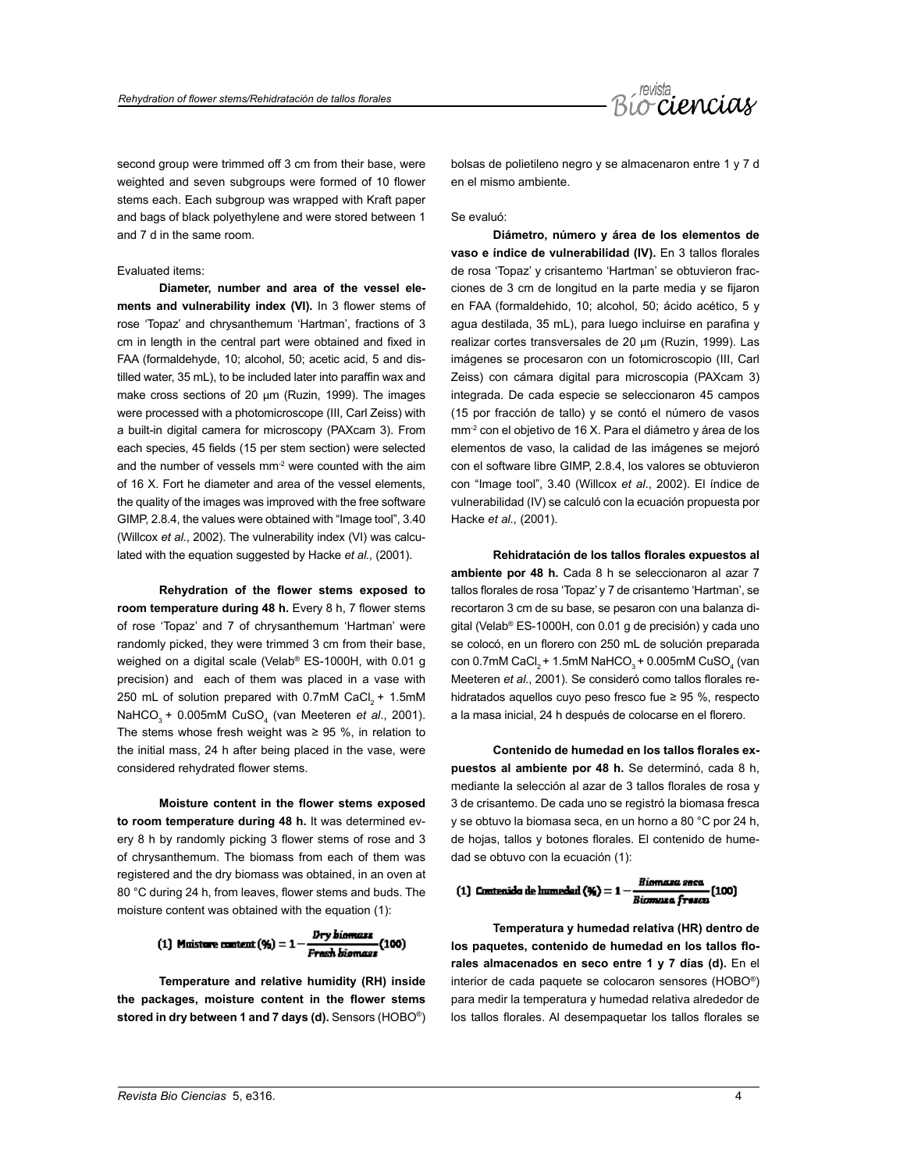

second group were trimmed off 3 cm from their base, were weighted and seven subgroups were formed of 10 flower stems each. Each subgroup was wrapped with Kraft paper and bags of black polyethylene and were stored between 1 and 7 d in the same room.

# Evaluated items:

**Diameter, number and area of the vessel elements and vulnerability index (VI).** In 3 flower stems of rose 'Topaz' and chrysanthemum 'Hartman', fractions of 3 cm in length in the central part were obtained and fixed in FAA (formaldehyde, 10; alcohol, 50; acetic acid, 5 and distilled water, 35 mL), to be included later into paraffin wax and make cross sections of 20 μm (Ruzin, 1999). The images were processed with a photomicroscope (III, Carl Zeiss) with a built-in digital camera for microscopy (PAXcam 3). From each species, 45 fields (15 per stem section) were selected and the number of vessels  $mm<sup>2</sup>$  were counted with the aim of 16 X. Fort he diameter and area of the vessel elements, the quality of the images was improved with the free software GIMP, 2.8.4, the values were obtained with "Image tool", 3.40 (Willcox *et al*., 2002). The vulnerability index (VI) was calculated with the equation suggested by Hacke *et al.,* (2001).

**Rehydration of the flower stems exposed to room temperature during 48 h.** Every 8 h, 7 flower stems of rose 'Topaz' and 7 of chrysanthemum 'Hartman' were randomly picked, they were trimmed 3 cm from their base, weighed on a digital scale (Velab® ES-1000H, with 0.01 g precision) and each of them was placed in a vase with 250 mL of solution prepared with  $0.7$ mM CaCl<sub>3</sub> + 1.5mM NaHCO<sub>3</sub> + 0.005mM CuSO<sub>4</sub> (van Meeteren *et al.*, 2001). The stems whose fresh weight was  $\geq$  95 %, in relation to the initial mass, 24 h after being placed in the vase, were considered rehydrated flower stems.

**Moisture content in the flower stems exposed to room temperature during 48 h.** It was determined every 8 h by randomly picking 3 flower stems of rose and 3 of chrysanthemum. The biomass from each of them was registered and the dry biomass was obtained, in an oven at 80 °C during 24 h, from leaves, flower stems and buds. The moisture content was obtained with the equation (1):

(1) Muitare content (9) = 
$$
1 - \frac{Dry\text{ biomazz}}{Frash\text{ biomazz}}
$$
 (100)

**Temperature and relative humidity (RH) inside the packages, moisture content in the flower stems stored in dry between 1 and 7 days (d).** Sensors (HOBO®) bolsas de polietileno negro y se almacenaron entre 1 y 7 d en el mismo ambiente.

Se evaluó:

**Diámetro, número y área de los elementos de vaso e índice de vulnerabilidad (IV).** En 3 tallos florales de rosa 'Topaz' y crisantemo 'Hartman' se obtuvieron fracciones de 3 cm de longitud en la parte media y se fijaron en FAA (formaldehido, 10; alcohol, 50; ácido acético, 5 y agua destilada, 35 mL), para luego incluirse en parafina y realizar cortes transversales de 20 μm (Ruzin, 1999). Las imágenes se procesaron con un fotomicroscopio (III, Carl Zeiss) con cámara digital para microscopia (PAXcam 3) integrada. De cada especie se seleccionaron 45 campos (15 por fracción de tallo) y se contó el número de vasos mm-2 con el objetivo de 16 X. Para el diámetro y área de los elementos de vaso, la calidad de las imágenes se mejoró con el software libre GIMP, 2.8.4, los valores se obtuvieron con "Image tool", 3.40 (Willcox *et al*., 2002). El índice de vulnerabilidad (IV) se calculó con la ecuación propuesta por Hacke *et al.,* (2001).

**Rehidratación de los tallos florales expuestos al ambiente por 48 h.** Cada 8 h se seleccionaron al azar 7 tallos florales de rosa 'Topaz' y 7 de crisantemo 'Hartman', se recortaron 3 cm de su base, se pesaron con una balanza digital (Velab® ES-1000H, con 0.01 g de precisión) y cada uno se colocó, en un florero con 250 mL de solución preparada con 0.7mM CaCl<sub>2</sub> + 1.5mM NaHCO<sub>3</sub> + 0.005mM CuSO<sub>4</sub> (van Meeteren *et al*., 2001). Se consideró como tallos florales rehidratados aquellos cuyo peso fresco fue ≥ 95 %, respecto a la masa inicial, 24 h después de colocarse en el florero.

**Contenido de humedad en los tallos florales expuestos al ambiente por 48 h.** Se determinó, cada 8 h, mediante la selección al azar de 3 tallos florales de rosa y 3 de crisantemo. De cada uno se registró la biomasa fresca y se obtuvo la biomasa seca, en un horno a 80 °C por 24 h, de hojas, tallos y botones florales. El contenido de humedad se obtuvo con la ecuación (1):

(1) Contenido de humedad  $(\mathcal{Y}_i) = 1 - \frac{Riemara\,s}{}$ eca (100)

**Temperatura y humedad relativa (HR) dentro de los paquetes, contenido de humedad en los tallos florales almacenados en seco entre 1 y 7 días (d).** En el interior de cada paquete se colocaron sensores (HOBO®) para medir la temperatura y humedad relativa alrededor de los tallos florales. Al desempaquetar los tallos florales se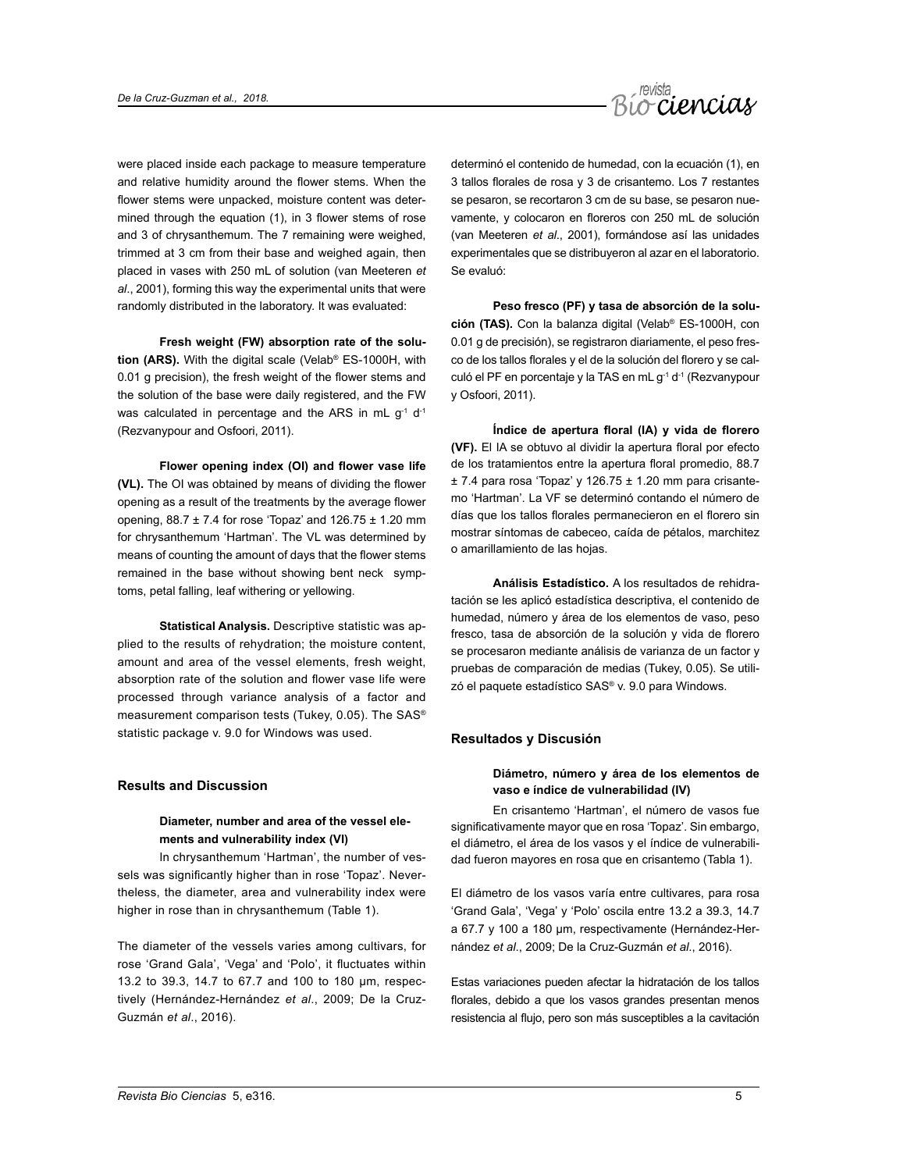

were placed inside each package to measure temperature and relative humidity around the flower stems. When the flower stems were unpacked, moisture content was determined through the equation (1), in 3 flower stems of rose and 3 of chrysanthemum. The 7 remaining were weighed, trimmed at 3 cm from their base and weighed again, then placed in vases with 250 mL of solution (van Meeteren *et al*., 2001), forming this way the experimental units that were randomly distributed in the laboratory. It was evaluated:

**Fresh weight (FW) absorption rate of the solution (ARS).** With the digital scale (Velab® ES-1000H, with 0.01 g precision), the fresh weight of the flower stems and the solution of the base were daily registered, and the FW was calculated in percentage and the ARS in mL g<sup>-1</sup> d<sup>-1</sup> (Rezvanypour and Osfoori, 2011).

**Flower opening index (OI) and flower vase life (VL).** The OI was obtained by means of dividing the flower opening as a result of the treatments by the average flower opening, 88.7 ± 7.4 for rose 'Topaz' and 126.75 ± 1.20 mm for chrysanthemum 'Hartman'. The VL was determined by means of counting the amount of days that the flower stems remained in the base without showing bent neck symptoms, petal falling, leaf withering or yellowing.

**Statistical Analysis.** Descriptive statistic was applied to the results of rehydration; the moisture content, amount and area of the vessel elements, fresh weight, absorption rate of the solution and flower vase life were processed through variance analysis of a factor and measurement comparison tests (Tukey, 0.05). The SAS® statistic package v. 9.0 for Windows was used.

# **Results and Discussion**

# **Diameter, number and area of the vessel elements and vulnerability index (VI)**

In chrysanthemum 'Hartman', the number of vessels was significantly higher than in rose 'Topaz'. Nevertheless, the diameter, area and vulnerability index were higher in rose than in chrysanthemum (Table 1).

The diameter of the vessels varies among cultivars, for rose 'Grand Gala', 'Vega' and 'Polo', it fluctuates within 13.2 to 39.3, 14.7 to 67.7 and 100 to 180 µm, respectively (Hernández-Hernández *et al*., 2009; De la Cruz-Guzmán *et al*., 2016).

determinó el contenido de humedad, con la ecuación (1), en 3 tallos florales de rosa y 3 de crisantemo. Los 7 restantes se pesaron, se recortaron 3 cm de su base, se pesaron nuevamente, y colocaron en floreros con 250 mL de solución (van Meeteren *et al*., 2001), formándose así las unidades experimentales que se distribuyeron al azar en el laboratorio. Se evaluó:

**Peso fresco (PF) y tasa de absorción de la solución (TAS).** Con la balanza digital (Velab® ES-1000H, con 0.01 g de precisión), se registraron diariamente, el peso fresco de los tallos florales y el de la solución del florero y se calculó el PF en porcentaje y la TAS en mL g-1 d-1 (Rezvanypour y Osfoori, 2011).

**Índice de apertura floral (IA) y vida de florero (VF).** El IA se obtuvo al dividir la apertura floral por efecto de los tratamientos entre la apertura floral promedio, 88.7  $± 7.4$  para rosa 'Topaz' y 126.75  $± 1.20$  mm para crisantemo 'Hartman'. La VF se determinó contando el número de días que los tallos florales permanecieron en el florero sin mostrar síntomas de cabeceo, caída de pétalos, marchitez o amarillamiento de las hojas.

**Análisis Estadístico.** A los resultados de rehidratación se les aplicó estadística descriptiva, el contenido de humedad, número y área de los elementos de vaso, peso fresco, tasa de absorción de la solución y vida de florero se procesaron mediante análisis de varianza de un factor y pruebas de comparación de medias (Tukey, 0.05). Se utilizó el paquete estadístico SAS® v. 9.0 para Windows.

#### **Resultados y Discusión**

# **Diámetro, número y área de los elementos de vaso e índice de vulnerabilidad (IV)**

En crisantemo 'Hartman', el número de vasos fue significativamente mayor que en rosa 'Topaz'. Sin embargo, el diámetro, el área de los vasos y el índice de vulnerabilidad fueron mayores en rosa que en crisantemo (Tabla 1).

El diámetro de los vasos varía entre cultivares, para rosa 'Grand Gala', 'Vega' y 'Polo' oscila entre 13.2 a 39.3, 14.7 a 67.7 y 100 a 180 µm, respectivamente (Hernández-Hernández *et al*., 2009; De la Cruz-Guzmán *et al*., 2016).

Estas variaciones pueden afectar la hidratación de los tallos florales, debido a que los vasos grandes presentan menos resistencia al flujo, pero son más susceptibles a la cavitación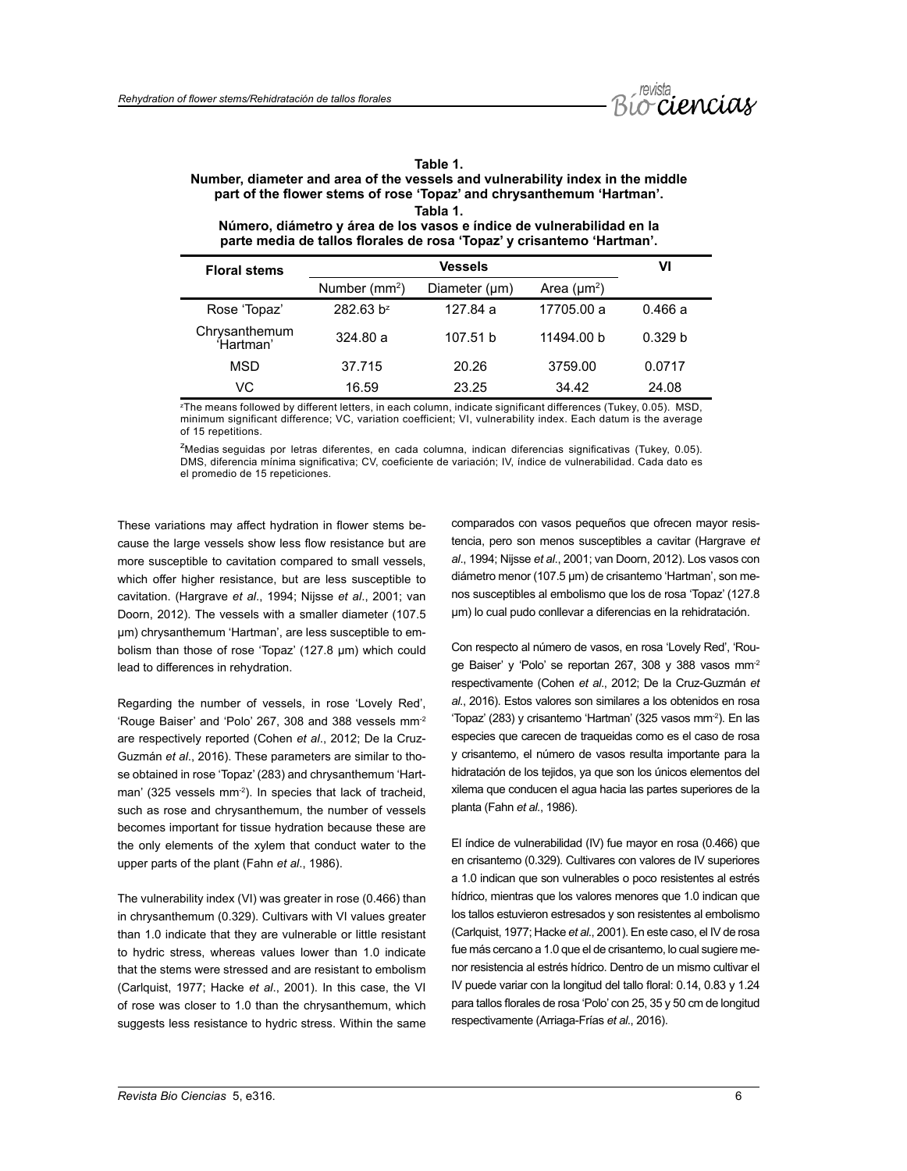

| 1<br>an |  |
|---------|--|
|---------|--|

# **Number, diameter and area of the vessels and vulnerability index in the middle part of the flower stems of rose 'Topaz' and chrysanthemum 'Hartman'.**

|  | labla |  |
|--|-------|--|
|--|-------|--|

**Número, diámetro y área de los vasos e índice de vulnerabilidad en la parte media de tallos florales de rosa 'Topaz' y crisantemo 'Hartman'.**

| <b>Floral stems</b>        |                           | VI            |                  |                    |
|----------------------------|---------------------------|---------------|------------------|--------------------|
|                            | Number (mm <sup>2</sup> ) | Diameter (µm) | Area $(\mu m^2)$ |                    |
| Rose 'Topaz'               | 282.63 b <sup>z</sup>     | 127.84 a      | 17705.00 a       | 0.466a             |
| Chrysanthemum<br>'Hartman' | 324.80a                   | 107.51 b      | 11494.00 b       | 0.329 <sub>b</sub> |
| <b>MSD</b>                 | 37.715                    | 20.26         | 3759.00          | 0.0717             |
| VC                         | 16.59                     | 23.25         | 34.42            | 24.08              |

z The means followed by different letters, in each column, indicate significant differences (Tukey, 0.05). MSD, minimum significant difference; VC, variation coefficient; VI, vulnerability index. Each datum is the average of 15 repetitions.

<sup>z</sup>Medias seguidas por letras diferentes, en cada columna, indican diferencias significativas (Tukey, 0.05). DMS, diferencia mínima significativa; CV, coeficiente de variación; IV, índice de vulnerabilidad. Cada dato es el promedio de 15 repeticiones.

These variations may affect hydration in flower stems because the large vessels show less flow resistance but are more susceptible to cavitation compared to small vessels, which offer higher resistance, but are less susceptible to cavitation. (Hargrave *et al*., 1994; Nijsse *et al*., 2001; van Doorn, 2012). The vessels with a smaller diameter (107.5 µm) chrysanthemum 'Hartman', are less susceptible to embolism than those of rose 'Topaz' (127.8 µm) which could lead to differences in rehydration.

Regarding the number of vessels, in rose 'Lovely Red', 'Rouge Baiser' and 'Polo' 267, 308 and 388 vessels mm-2 are respectively reported (Cohen *et al*., 2012; De la Cruz-Guzmán *et al*., 2016). These parameters are similar to those obtained in rose 'Topaz' (283) and chrysanthemum 'Hartman' (325 vessels mm<sup>-2</sup>). In species that lack of tracheid, such as rose and chrysanthemum, the number of vessels becomes important for tissue hydration because these are the only elements of the xylem that conduct water to the upper parts of the plant (Fahn *et al*., 1986).

The vulnerability index (VI) was greater in rose (0.466) than in chrysanthemum (0.329). Cultivars with VI values greater than 1.0 indicate that they are vulnerable or little resistant to hydric stress, whereas values lower than 1.0 indicate that the stems were stressed and are resistant to embolism (Carlquist, 1977; Hacke *et al*., 2001). In this case, the VI of rose was closer to 1.0 than the chrysanthemum, which suggests less resistance to hydric stress. Within the same comparados con vasos pequeños que ofrecen mayor resistencia, pero son menos susceptibles a cavitar (Hargrave *et al*., 1994; Nijsse *et al*., 2001; van Doorn, 2012). Los vasos con diámetro menor (107.5 µm) de crisantemo 'Hartman', son menos susceptibles al embolismo que los de rosa 'Topaz' (127.8 µm) lo cual pudo conllevar a diferencias en la rehidratación.

Con respecto al número de vasos, en rosa 'Lovely Red', 'Rouge Baiser' y 'Polo' se reportan 267, 308 y 388 vasos mm-2 respectivamente (Cohen *et al*., 2012; De la Cruz-Guzmán *et al*., 2016). Estos valores son similares a los obtenidos en rosa 'Topaz' (283) y crisantemo 'Hartman' (325 vasos mm-2). En las especies que carecen de traqueidas como es el caso de rosa y crisantemo, el número de vasos resulta importante para la hidratación de los tejidos, ya que son los únicos elementos del xilema que conducen el agua hacia las partes superiores de la planta (Fahn *et al*., 1986).

El índice de vulnerabilidad (IV) fue mayor en rosa (0.466) que en crisantemo (0.329). Cultivares con valores de IV superiores a 1.0 indican que son vulnerables o poco resistentes al estrés hídrico, mientras que los valores menores que 1.0 indican que los tallos estuvieron estresados y son resistentes al embolismo (Carlquist, 1977; Hacke *et al*., 2001). En este caso, el IV de rosa fue más cercano a 1.0 que el de crisantemo, lo cual sugiere menor resistencia al estrés hídrico. Dentro de un mismo cultivar el IV puede variar con la longitud del tallo floral: 0.14, 0.83 y 1.24 para tallos florales de rosa 'Polo' con 25, 35 y 50 cm de longitud respectivamente (Arriaga-Frías *et al*., 2016).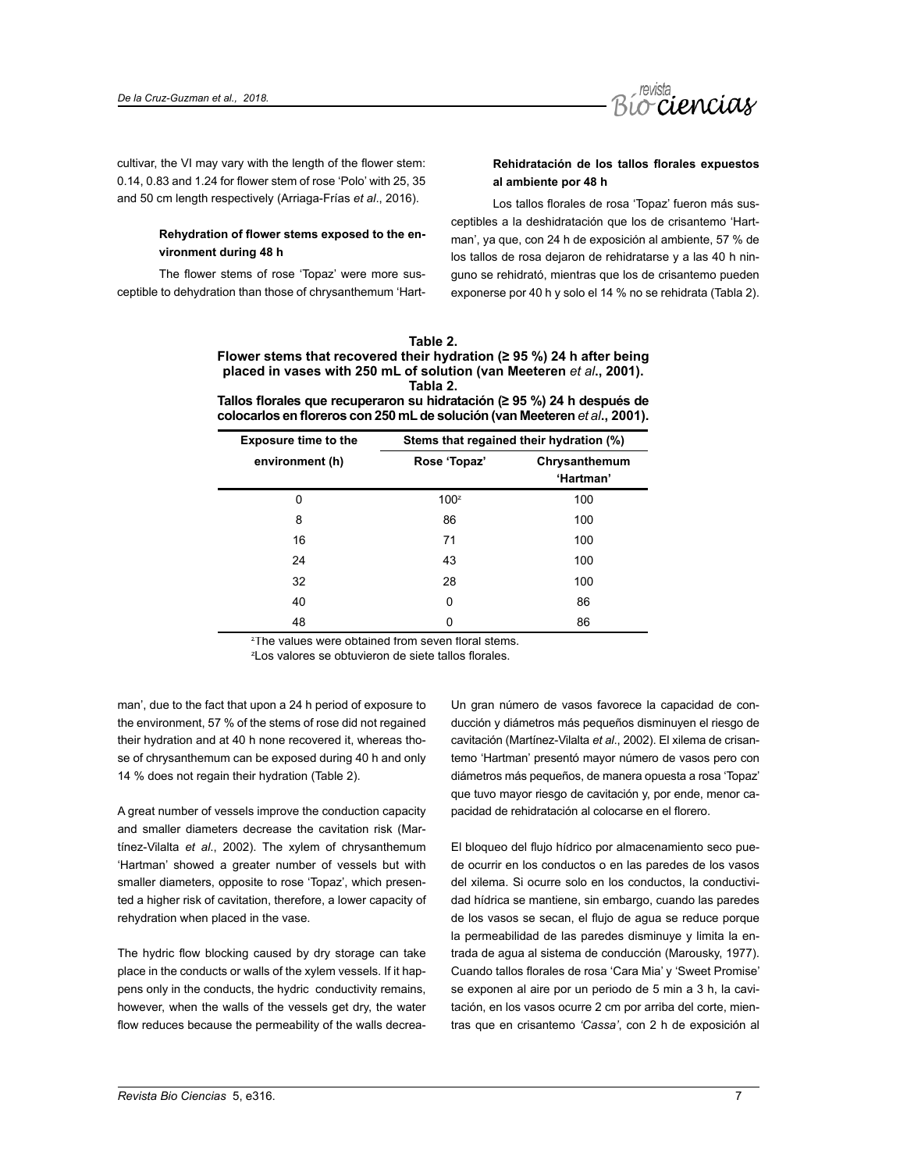

cultivar, the VI may vary with the length of the flower stem: 0.14, 0.83 and 1.24 for flower stem of rose 'Polo' with 25, 35 and 50 cm length respectively (Arriaga-Frías *et al*., 2016).

# **Rehydration of flower stems exposed to the environment during 48 h**

The flower stems of rose 'Topaz' were more susceptible to dehydration than those of chrysanthemum 'Hart-

# **Rehidratación de los tallos florales expuestos al ambiente por 48 h**

Los tallos florales de rosa 'Topaz' fueron más susceptibles a la deshidratación que los de crisantemo 'Hartman', ya que, con 24 h de exposición al ambiente, 57 % de los tallos de rosa dejaron de rehidratarse y a las 40 h ninguno se rehidrató, mientras que los de crisantemo pueden exponerse por 40 h y solo el 14 % no se rehidrata (Tabla 2).

| Table 2.                                                                    |
|-----------------------------------------------------------------------------|
| Flower stems that recovered their hydration ( $\geq$ 95 %) 24 h after being |
| placed in vases with 250 mL of solution (van Meeteren et al., 2001).        |
| Tabla 2.                                                                    |

**Tallos florales que recuperaron su hidratación (≥ 95 %) 24 h después de colocarlos en floreros con 250 mL de solución (van Meeteren** *et al***., 2001).**

| <b>Exposure time to the</b> | Stems that regained their hydration (%) |                            |  |
|-----------------------------|-----------------------------------------|----------------------------|--|
| environment (h)             | Rose 'Topaz'                            | Chrysanthemum<br>'Hartman' |  |
| 0                           | 100 <sup>z</sup>                        | 100                        |  |
| 8                           | 86                                      | 100                        |  |
| 16                          | 71                                      | 100                        |  |
| 24                          | 43                                      | 100                        |  |
| 32                          | 28                                      | 100                        |  |
| 40                          | 0                                       | 86                         |  |
| 48                          | 0                                       | 86                         |  |

z The values were obtained from seven floral stems.

z Los valores se obtuvieron de siete tallos florales.

man', due to the fact that upon a 24 h period of exposure to the environment, 57 % of the stems of rose did not regained their hydration and at 40 h none recovered it, whereas those of chrysanthemum can be exposed during 40 h and only 14 % does not regain their hydration (Table 2).

A great number of vessels improve the conduction capacity and smaller diameters decrease the cavitation risk (Martínez-Vilalta *et al*., 2002). The xylem of chrysanthemum 'Hartman' showed a greater number of vessels but with smaller diameters, opposite to rose 'Topaz', which presented a higher risk of cavitation, therefore, a lower capacity of rehydration when placed in the vase.

The hydric flow blocking caused by dry storage can take place in the conducts or walls of the xylem vessels. If it happens only in the conducts, the hydric conductivity remains, however, when the walls of the vessels get dry, the water flow reduces because the permeability of the walls decreaUn gran número de vasos favorece la capacidad de conducción y diámetros más pequeños disminuyen el riesgo de cavitación (Martínez-Vilalta *et al*., 2002). El xilema de crisantemo 'Hartman' presentó mayor número de vasos pero con diámetros más pequeños, de manera opuesta a rosa 'Topaz' que tuvo mayor riesgo de cavitación y, por ende, menor capacidad de rehidratación al colocarse en el florero.

El bloqueo del flujo hídrico por almacenamiento seco puede ocurrir en los conductos o en las paredes de los vasos del xilema. Si ocurre solo en los conductos, la conductividad hídrica se mantiene, sin embargo, cuando las paredes de los vasos se secan, el flujo de agua se reduce porque la permeabilidad de las paredes disminuye y limita la entrada de agua al sistema de conducción (Marousky, 1977). Cuando tallos florales de rosa 'Cara Mia' y 'Sweet Promise' se exponen al aire por un periodo de 5 min a 3 h, la cavitación, en los vasos ocurre 2 cm por arriba del corte, mientras que en crisantemo *'Cassa'*, con 2 h de exposición al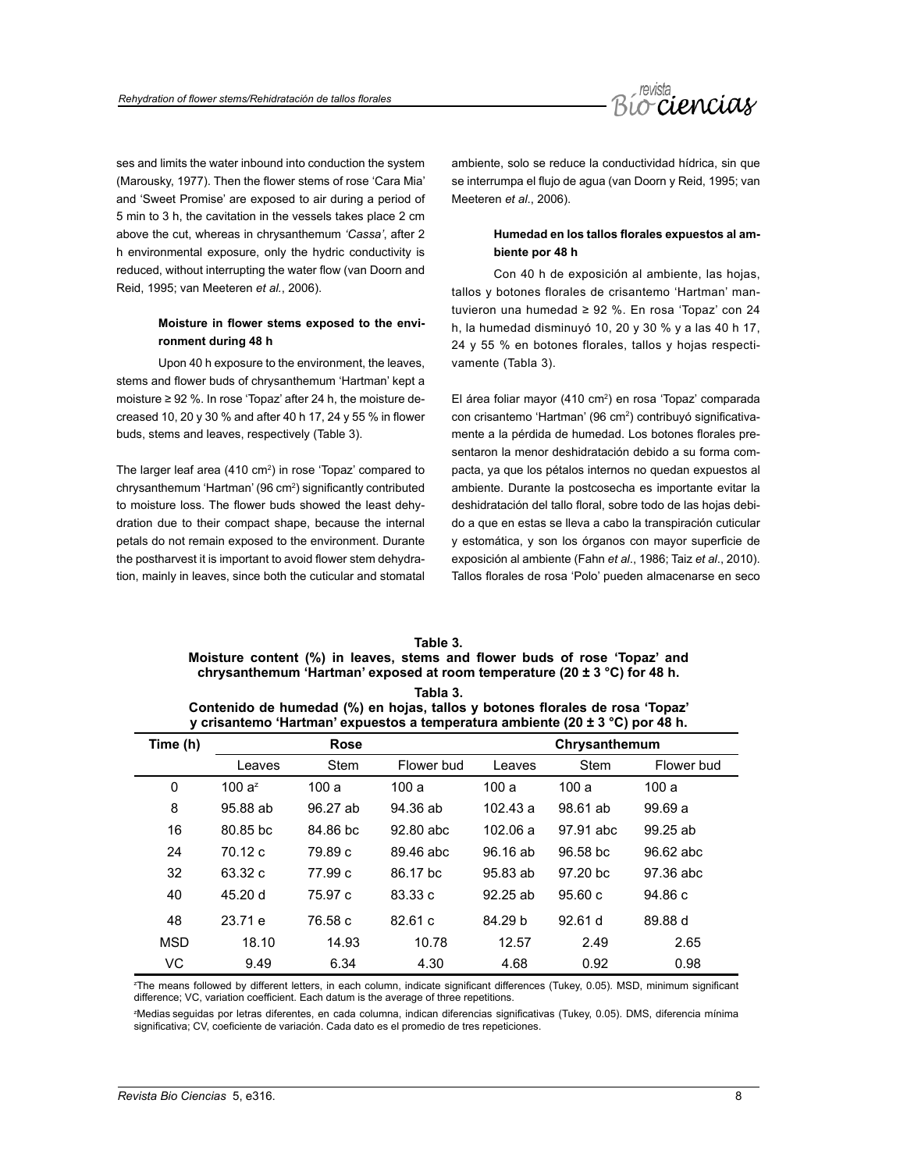

ses and limits the water inbound into conduction the system (Marousky, 1977). Then the flower stems of rose 'Cara Mia' and 'Sweet Promise' are exposed to air during a period of 5 min to 3 h, the cavitation in the vessels takes place 2 cm above the cut, whereas in chrysanthemum *'Cassa'*, after 2 h environmental exposure, only the hydric conductivity is reduced, without interrupting the water flow (van Doorn and Reid, 1995; van Meeteren *et al.*, 2006).

# **Moisture in flower stems exposed to the environment during 48 h**

Upon 40 h exposure to the environment, the leaves, stems and flower buds of chrysanthemum 'Hartman' kept a moisture ≥ 92 %. In rose 'Topaz' after 24 h, the moisture decreased 10, 20 y 30 % and after 40 h 17, 24 y 55 % in flower buds, stems and leaves, respectively (Table 3).

The larger leaf area (410 cm<sup>2</sup>) in rose 'Topaz' compared to chrysanthemum 'Hartman' (96 cm2 ) significantly contributed to moisture loss. The flower buds showed the least dehydration due to their compact shape, because the internal petals do not remain exposed to the environment. Durante the postharvest it is important to avoid flower stem dehydration, mainly in leaves, since both the cuticular and stomatal

ambiente, solo se reduce la conductividad hídrica, sin que se interrumpa el flujo de agua (van Doorn y Reid, 1995; van Meeteren *et al*., 2006).

# **Humedad en los tallos florales expuestos al ambiente por 48 h**

Con 40 h de exposición al ambiente, las hojas, tallos y botones florales de crisantemo 'Hartman' mantuvieron una humedad ≥ 92 %. En rosa 'Topaz' con 24 h, la humedad disminuyó 10, 20 y 30 % y a las 40 h 17, 24 y 55 % en botones florales, tallos y hojas respectivamente (Tabla 3).

El área foliar mayor (410 cm<sup>2</sup>) en rosa 'Topaz' comparada con crisantemo 'Hartman' (96 cm<sup>2</sup>) contribuyó significativamente a la pérdida de humedad. Los botones florales presentaron la menor deshidratación debido a su forma compacta, ya que los pétalos internos no quedan expuestos al ambiente. Durante la postcosecha es importante evitar la deshidratación del tallo floral, sobre todo de las hojas debido a que en estas se lleva a cabo la transpiración cuticular y estomática, y son los órganos con mayor superficie de exposición al ambiente (Fahn *et al*., 1986; Taiz *et al*., 2010). Tallos florales de rosa 'Polo' pueden almacenarse en seco

**Tabla 3. Table 3. Moisture content (%) in leaves, stems and flower buds of rose 'Topaz' and chrysanthemum 'Hartman' exposed at room temperature (20 ± 3 °C) for 48 h.**

| таріа э.                                                                      |  |  |  |  |  |
|-------------------------------------------------------------------------------|--|--|--|--|--|
| Contenido de humedad (%) en hojas, tallos y botones florales de rosa 'Topaz'  |  |  |  |  |  |
| y crisantemo 'Hartman' expuestos a temperatura ambiente (20 ± 3 °C) por 48 h. |  |  |  |  |  |

| Time (h)   | <b>Rose</b> |             |            | Chrysanthemum |           |            |
|------------|-------------|-------------|------------|---------------|-----------|------------|
|            | Leaves      | <b>Stem</b> | Flower bud | Leaves        | Stem      | Flower bud |
| 0          | 100 $a^z$   | 100a        | 100a       | 100a          | 100a      | 100a       |
| 8          | 95.88 ab    | 96.27 ab    | 94.36 ab   | 102.43 a      | 98.61 ab  | 99.69a     |
| 16         | 80.85 bc    | 84.86 bc    | 92.80 abc  | 102.06a       | 97.91 abc | $99.25$ ab |
| 24         | 70.12 c     | 79.89 c     | 89.46 abc  | 96.16 ab      | 96.58 bc  | 96.62 abc  |
| 32         | 63.32 c     | 77.99 c     | 86.17 bc   | 95.83 ab      | 97.20 bc  | 97.36 abc  |
| 40         | 45.20 d     | 75.97 c     | 83.33 c    | $92.25$ ab    | 95.60c    | 94.86c     |
| 48         | 23.71 e     | 76.58 c     | 82.61c     | 84.29 b       | 92.61 d   | 89.88 d    |
| <b>MSD</b> | 18.10       | 14.93       | 10.78      | 12.57         | 2.49      | 2.65       |
| VC         | 9.49        | 6.34        | 4.30       | 4.68          | 0.92      | 0.98       |

z The means followed by different letters, in each column, indicate significant differences (Tukey, 0.05). MSD, minimum significant difference; VC, variation coefficient. Each datum is the average of three repetitions.

z Medias seguidas por letras diferentes, en cada columna, indican diferencias significativas (Tukey, 0.05). DMS, diferencia mínima significativa; CV, coeficiente de variación. Cada dato es el promedio de tres repeticiones.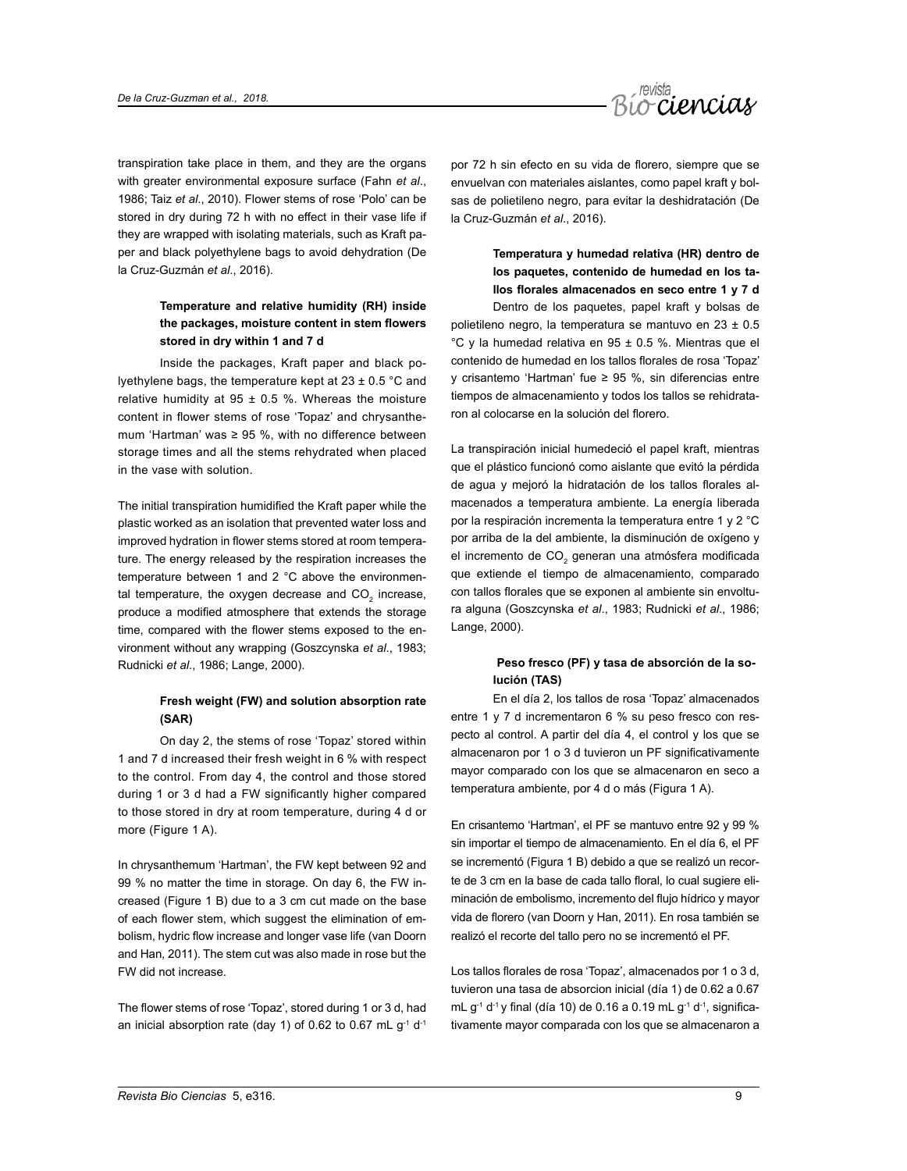

transpiration take place in them, and they are the organs with greater environmental exposure surface (Fahn *et al*., 1986; Taiz *et al*., 2010). Flower stems of rose 'Polo' can be stored in dry during 72 h with no effect in their vase life if they are wrapped with isolating materials, such as Kraft paper and black polyethylene bags to avoid dehydration (De la Cruz-Guzmán *et al*., 2016).

# **Temperature and relative humidity (RH) inside the packages, moisture content in stem flowers stored in dry within 1 and 7 d**

Inside the packages, Kraft paper and black polyethylene bags, the temperature kept at  $23 \pm 0.5$  °C and relative humidity at  $95 \pm 0.5$  %. Whereas the moisture content in flower stems of rose 'Topaz' and chrysanthemum 'Hartman' was ≥ 95 %, with no difference between storage times and all the stems rehydrated when placed in the vase with solution.

The initial transpiration humidified the Kraft paper while the plastic worked as an isolation that prevented water loss and improved hydration in flower stems stored at room temperature. The energy released by the respiration increases the temperature between 1 and 2 °C above the environmental temperature, the oxygen decrease and  $CO_{2}$  increase, produce a modified atmosphere that extends the storage time, compared with the flower stems exposed to the environment without any wrapping (Goszcynska *et al*., 1983; Rudnicki *et al*., 1986; Lange, 2000).

# **Fresh weight (FW) and solution absorption rate (SAR)**

On day 2, the stems of rose 'Topaz' stored within 1 and 7 d increased their fresh weight in 6 % with respect to the control. From day 4, the control and those stored during 1 or 3 d had a FW significantly higher compared to those stored in dry at room temperature, during 4 d or more (Figure 1 A).

In chrysanthemum 'Hartman', the FW kept between 92 and 99 % no matter the time in storage. On day 6, the FW increased (Figure 1 B) due to a 3 cm cut made on the base of each flower stem, which suggest the elimination of embolism, hydric flow increase and longer vase life (van Doorn and Han*,* 2011). The stem cut was also made in rose but the FW did not increase.

The flower stems of rose 'Topaz', stored during 1 or 3 d, had an inicial absorption rate (day 1) of 0.62 to 0.67 mL  $g^{-1}$  d<sup>-1</sup>

por 72 h sin efecto en su vida de florero, siempre que se envuelvan con materiales aislantes, como papel kraft y bolsas de polietileno negro, para evitar la deshidratación (De la Cruz-Guzmán *et al*., 2016).

> **Temperatura y humedad relativa (HR) dentro de los paquetes, contenido de humedad en los tallos florales almacenados en seco entre 1 y 7 d**

Dentro de los paquetes, papel kraft y bolsas de polietileno negro, la temperatura se mantuvo en 23 ± 0.5 °C y la humedad relativa en 95 ± 0.5 %. Mientras que el contenido de humedad en los tallos florales de rosa 'Topaz' y crisantemo 'Hartman' fue ≥ 95 %, sin diferencias entre tiempos de almacenamiento y todos los tallos se rehidrataron al colocarse en la solución del florero.

La transpiración inicial humedeció el papel kraft, mientras que el plástico funcionó como aislante que evitó la pérdida de agua y mejoró la hidratación de los tallos florales almacenados a temperatura ambiente. La energía liberada por la respiración incrementa la temperatura entre 1 y 2 °C por arriba de la del ambiente, la disminución de oxígeno y el incremento de CO<sub>2</sub> generan una atmósfera modificada que extiende el tiempo de almacenamiento, comparado con tallos florales que se exponen al ambiente sin envoltura alguna (Goszcynska *et al*., 1983; Rudnicki *et al*., 1986; Lange, 2000).

# **Peso fresco (PF) y tasa de absorción de la solución (TAS)**

En el día 2, los tallos de rosa 'Topaz' almacenados entre 1 y 7 d incrementaron 6 % su peso fresco con respecto al control. A partir del día 4, el control y los que se almacenaron por 1 o 3 d tuvieron un PF significativamente mayor comparado con los que se almacenaron en seco a temperatura ambiente, por 4 d o más (Figura 1 A).

En crisantemo 'Hartman', el PF se mantuvo entre 92 y 99 % sin importar el tiempo de almacenamiento. En el día 6, el PF se incrementó (Figura 1 B) debido a que se realizó un recorte de 3 cm en la base de cada tallo floral, lo cual sugiere eliminación de embolismo, incremento del flujo hídrico y mayor vida de florero (van Doorn y Han, 2011). En rosa también se realizó el recorte del tallo pero no se incrementó el PF.

Los tallos florales de rosa 'Topaz', almacenados por 1 o 3 d, tuvieron una tasa de absorcion inicial (día 1) de 0.62 a 0.67 mL  $g^{-1}$  d<sup>-1</sup> y final (día 10) de 0.16 a 0.19 mL  $g^{-1}$  d<sup>-1</sup>, significativamente mayor comparada con los que se almacenaron a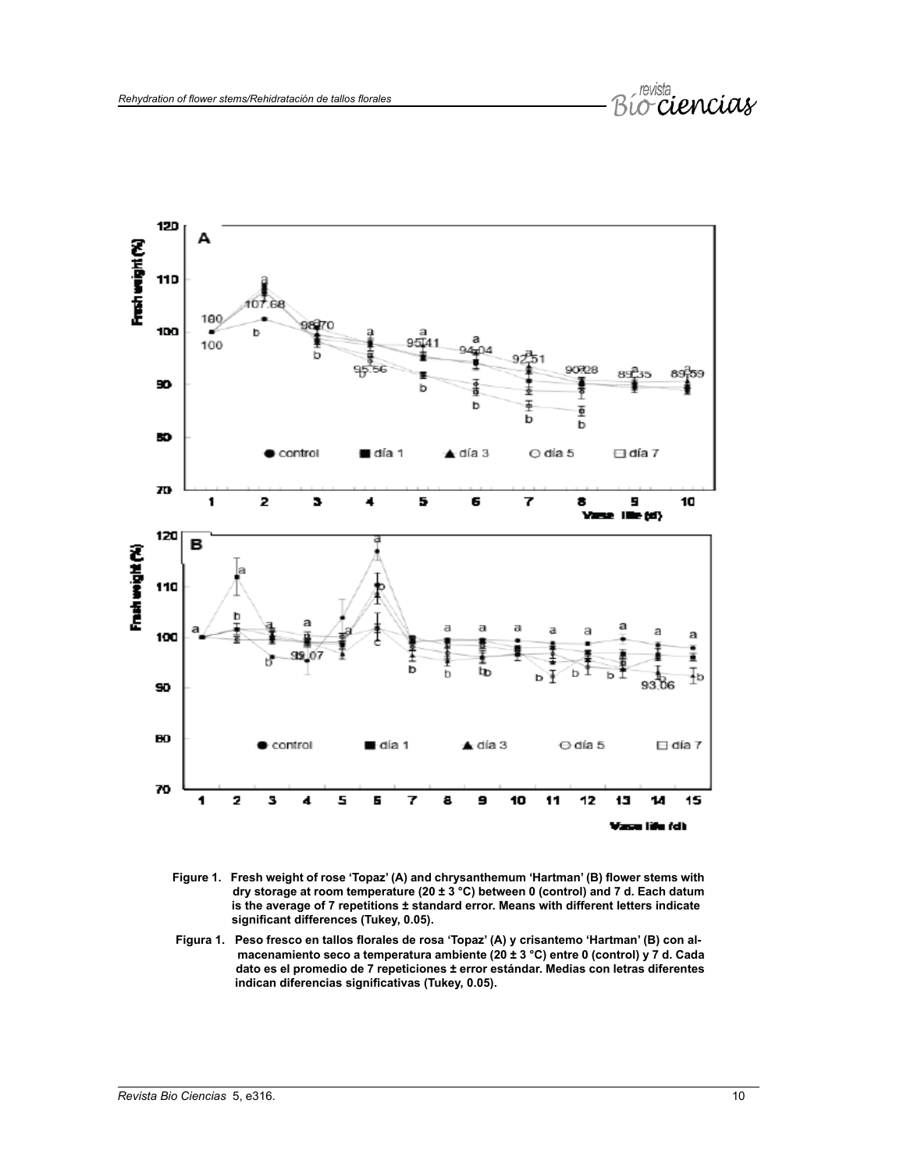

- **Figure 1. Fresh weight of rose 'Topaz' (A) and chrysanthemum 'Hartman' (B) flower stems with dry storage at room temperature (20 ± 3 °C) between 0 (control) and 7 d. Each datum is the average of 7 repetitions ± standard error. Means with different letters indicate significant differences (Tukey, 0.05).**
- **Figura 1. Peso fresco en tallos florales de rosa 'Topaz' (A) y crisantemo 'Hartman' (B) con al macenamiento seco a temperatura ambiente (20 ± 3 °C) entre 0 (control) y 7 d. Cada dato es el promedio de 7 repeticiones ± error estándar. Medias con letras diferentes indican diferencias significativas (Tukey, 0.05).**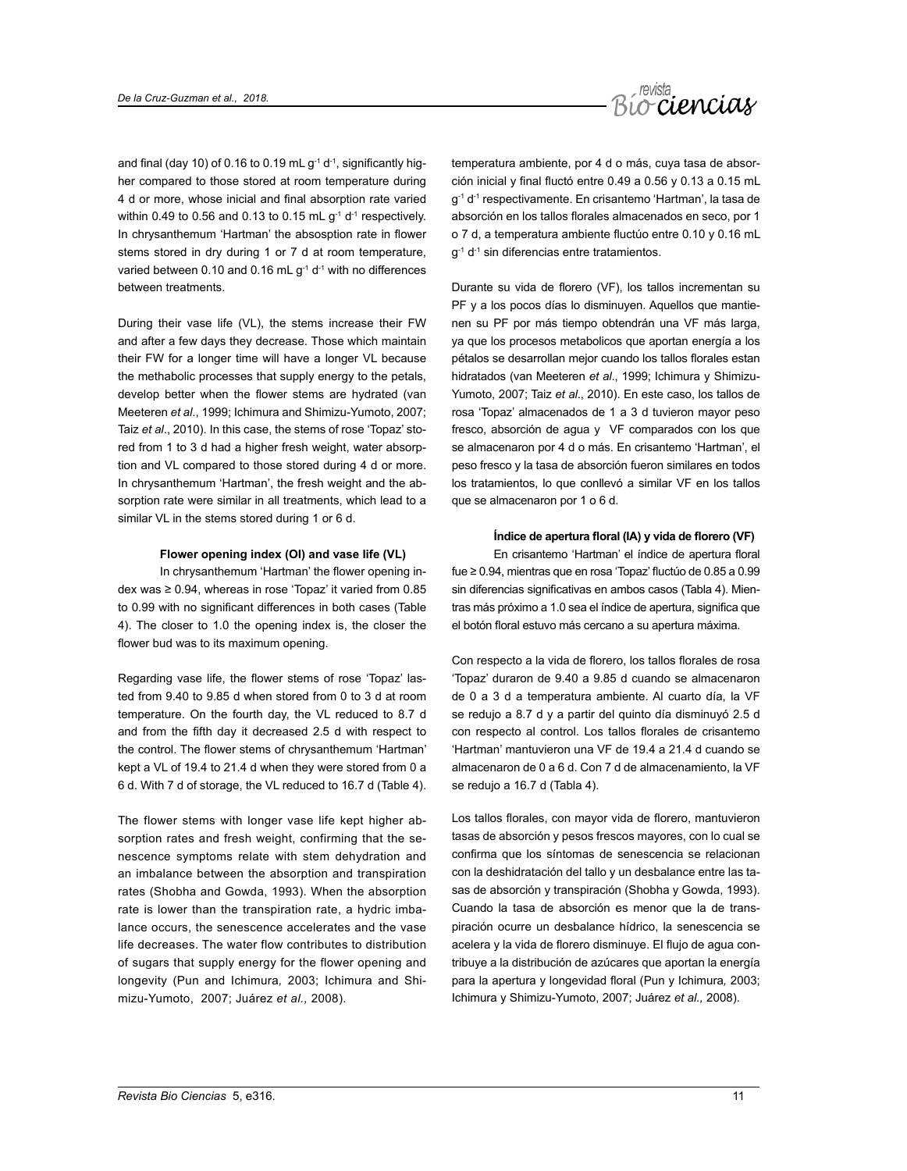

and final (day 10) of 0.16 to 0.19 mL  $q^{-1}$  d<sup>-1</sup>, significantly higher compared to those stored at room temperature during 4 d or more, whose inicial and final absorption rate varied within 0.49 to 0.56 and 0.13 to 0.15 mL  $g^{-1}$  d<sup>-1</sup> respectively. In chrysanthemum 'Hartman' the absosption rate in flower stems stored in dry during 1 or 7 d at room temperature, varied between 0.10 and 0.16 mL  $q^{-1}$  d<sup>-1</sup> with no differences between treatments.

During their vase life (VL), the stems increase their FW and after a few days they decrease. Those which maintain their FW for a longer time will have a longer VL because the methabolic processes that supply energy to the petals, develop better when the flower stems are hydrated (van Meeteren *et al*., 1999; Ichimura and Shimizu-Yumoto, 2007; Taiz *et al*., 2010). In this case, the stems of rose 'Topaz' stored from 1 to 3 d had a higher fresh weight, water absorption and VL compared to those stored during 4 d or more. In chrysanthemum 'Hartman', the fresh weight and the absorption rate were similar in all treatments, which lead to a similar VL in the stems stored during 1 or 6 d.

#### **Flower opening index (OI) and vase life (VL)**

In chrysanthemum 'Hartman' the flower opening index was ≥ 0.94, whereas in rose 'Topaz' it varied from 0.85 to 0.99 with no significant differences in both cases (Table 4). The closer to 1.0 the opening index is, the closer the flower bud was to its maximum opening.

Regarding vase life, the flower stems of rose 'Topaz' lasted from 9.40 to 9.85 d when stored from 0 to 3 d at room temperature. On the fourth day, the VL reduced to 8.7 d and from the fifth day it decreased 2.5 d with respect to the control. The flower stems of chrysanthemum 'Hartman' kept a VL of 19.4 to 21.4 d when they were stored from 0 a 6 d. With 7 d of storage, the VL reduced to 16.7 d (Table 4).

The flower stems with longer vase life kept higher absorption rates and fresh weight, confirming that the senescence symptoms relate with stem dehydration and an imbalance between the absorption and transpiration rates (Shobha and Gowda, 1993). When the absorption rate is lower than the transpiration rate, a hydric imbalance occurs, the senescence accelerates and the vase life decreases. The water flow contributes to distribution of sugars that supply energy for the flower opening and longevity (Pun and Ichimura*,* 2003; Ichimura and Shimizu-Yumoto, 2007; Juárez *et al.,* 2008).

temperatura ambiente, por 4 d o más, cuya tasa de absorción inicial y final fluctó entre 0.49 a 0.56 y 0.13 a 0.15 mL g-1 d-1 respectivamente. En crisantemo 'Hartman', la tasa de absorción en los tallos florales almacenados en seco, por 1 o 7 d, a temperatura ambiente fluctúo entre 0.10 y 0.16 mL  $q^{-1}$  d<sup>-1</sup> sin diferencias entre tratamientos.

Durante su vida de florero (VF), los tallos incrementan su PF y a los pocos días lo disminuyen. Aquellos que mantienen su PF por más tiempo obtendrán una VF más larga, ya que los procesos metabolicos que aportan energía a los pétalos se desarrollan mejor cuando los tallos florales estan hidratados (van Meeteren *et al*., 1999; Ichimura y Shimizu-Yumoto, 2007; Taiz *et al*., 2010). En este caso, los tallos de rosa 'Topaz' almacenados de 1 a 3 d tuvieron mayor peso fresco, absorción de agua y VF comparados con los que se almacenaron por 4 d o más. En crisantemo 'Hartman', el peso fresco y la tasa de absorción fueron similares en todos los tratamientos, lo que conllevó a similar VF en los tallos que se almacenaron por 1 o 6 d.

#### **Índice de apertura floral (IA) y vida de florero (VF)**

En crisantemo 'Hartman' el índice de apertura floral fue ≥ 0.94, mientras que en rosa 'Topaz' fluctúo de 0.85 a 0.99 sin diferencias significativas en ambos casos (Tabla 4). Mientras más próximo a 1.0 sea el índice de apertura, significa que el botón floral estuvo más cercano a su apertura máxima.

Con respecto a la vida de florero, los tallos florales de rosa 'Topaz' duraron de 9.40 a 9.85 d cuando se almacenaron de 0 a 3 d a temperatura ambiente. Al cuarto día, la VF se redujo a 8.7 d y a partir del quinto día disminuyó 2.5 d con respecto al control. Los tallos florales de crisantemo 'Hartman' mantuvieron una VF de 19.4 a 21.4 d cuando se almacenaron de 0 a 6 d. Con 7 d de almacenamiento, la VF se redujo a 16.7 d (Tabla 4).

Los tallos florales, con mayor vida de florero, mantuvieron tasas de absorción y pesos frescos mayores, con lo cual se confirma que los síntomas de senescencia se relacionan con la deshidratación del tallo y un desbalance entre las tasas de absorción y transpiración (Shobha y Gowda, 1993). Cuando la tasa de absorción es menor que la de transpiración ocurre un desbalance hídrico, la senescencia se acelera y la vida de florero disminuye. El flujo de agua contribuye a la distribución de azúcares que aportan la energía para la apertura y longevidad floral (Pun y Ichimura*,* 2003; Ichimura y Shimizu-Yumoto, 2007; Juárez *et al.,* 2008).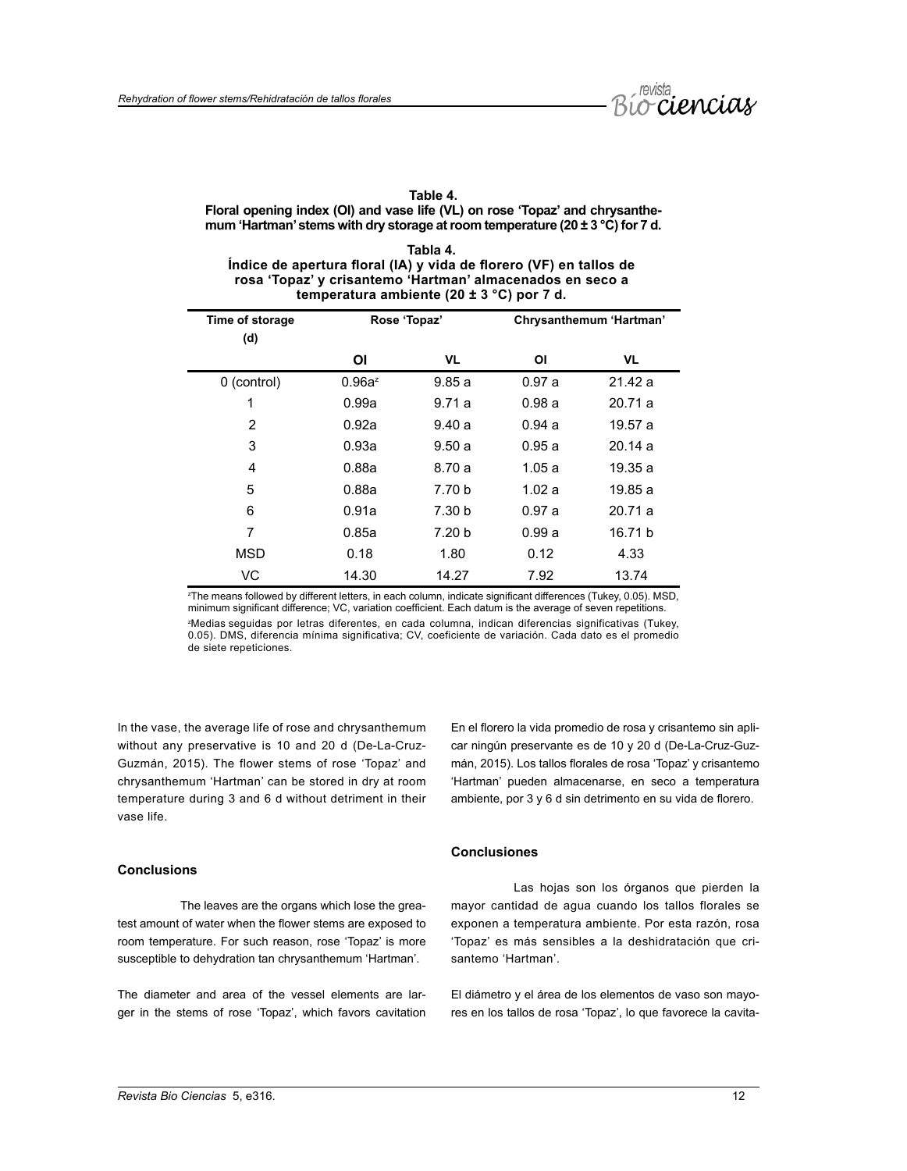

# **Table 4.**

# **Floral opening index (OI) and vase life (VL) on rose 'Topaz' and chrysanthemum 'Hartman' stems with dry storage at room temperature (20 ± 3 °C) for 7 d.**

| Tabla 4.                                                           |
|--------------------------------------------------------------------|
| Índice de apertura floral (IA) y vida de florero (VF) en tallos de |
| rosa 'Topaz' y crisantemo 'Hartman' almacenados en seco a          |
| temperatura ambiente (20 $\pm$ 3 °C) por 7 d.                      |

| Time of storage<br>(d) | Rose 'Topaz' |                   |       | Chrysanthemum 'Hartman' |
|------------------------|--------------|-------------------|-------|-------------------------|
|                        | ΟI           | VL                | ΟI    | VL                      |
| 0 (control)            | $0.96a^z$    | 9.85a             | 0.97a | 21.42a                  |
| 1                      | 0.99a        | 9.71a             | 0.98a | 20.71a                  |
| $\overline{2}$         | 0.92a        | 9.40a             | 0.94a | 19.57 a                 |
| 3                      | 0.93a        | 9.50a             | 0.95a | 20.14a                  |
| 4                      | 0.88a        | 8.70 a            | 1.05a | 19.35 a                 |
| 5                      | 0.88a        | 7.70 b            | 1.02a | 19.85a                  |
| 6                      | 0.91a        | 7.30 b            | 0.97a | 20.71a                  |
| 7                      | 0.85a        | 7.20 <sub>b</sub> | 0.99a | 16.71 b                 |
| <b>MSD</b>             | 0.18         | 1.80              | 0.12  | 4.33                    |
| VC                     | 14.30        | 14.27             | 7.92  | 13.74                   |

z The means followed by different letters, in each column, indicate significant differences (Tukey, 0.05). MSD, minimum significant difference; VC, variation coefficient. Each datum is the average of seven repetitions. z Medias seguidas por letras diferentes, en cada columna, indican diferencias significativas (Tukey, 0.05). DMS, diferencia mínima significativa; CV, coeficiente de variación. Cada dato es el promedio de siete repeticiones.

In the vase, the average life of rose and chrysanthemum without any preservative is 10 and 20 d (De-La-Cruz-Guzmán, 2015). The flower stems of rose 'Topaz' and chrysanthemum 'Hartman' can be stored in dry at room temperature during 3 and 6 d without detriment in their vase life.

### **Conclusions**

The leaves are the organs which lose the greatest amount of water when the flower stems are exposed to room temperature. For such reason, rose 'Topaz' is more susceptible to dehydration tan chrysanthemum 'Hartman'.

The diameter and area of the vessel elements are larger in the stems of rose 'Topaz', which favors cavitation En el florero la vida promedio de rosa y crisantemo sin aplicar ningún preservante es de 10 y 20 d (De-La-Cruz-Guzmán, 2015). Los tallos florales de rosa 'Topaz' y crisantemo 'Hartman' pueden almacenarse, en seco a temperatura ambiente, por 3 y 6 d sin detrimento en su vida de florero.

# **Conclusiones**

Las hojas son los órganos que pierden la mayor cantidad de agua cuando los tallos florales se exponen a temperatura ambiente. Por esta razón, rosa 'Topaz' es más sensibles a la deshidratación que crisantemo 'Hartman'.

El diámetro y el área de los elementos de vaso son mayores en los tallos de rosa 'Topaz', lo que favorece la cavita-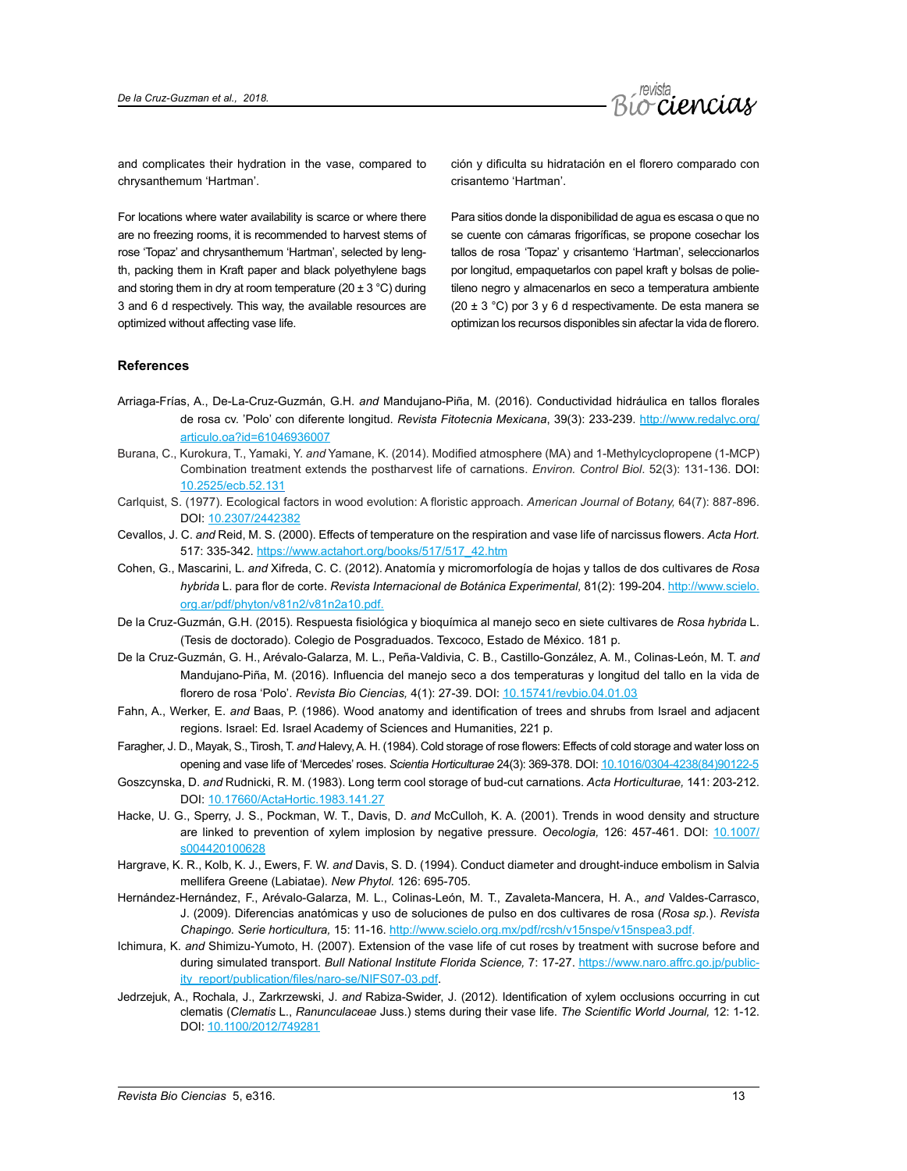

and complicates their hydration in the vase, compared to chrysanthemum 'Hartman'.

For locations where water availability is scarce or where there are no freezing rooms, it is recommended to harvest stems of rose 'Topaz' and chrysanthemum 'Hartman', selected by length, packing them in Kraft paper and black polyethylene bags and storing them in dry at room temperature (20  $\pm$  3 °C) during 3 and 6 d respectively. This way, the available resources are optimized without affecting vase life.

ción y dificulta su hidratación en el florero comparado con crisantemo 'Hartman'.

Para sitios donde la disponibilidad de agua es escasa o que no se cuente con cámaras frigoríficas, se propone cosechar los tallos de rosa 'Topaz' y crisantemo 'Hartman', seleccionarlos por longitud, empaquetarlos con papel kraft y bolsas de polietileno negro y almacenarlos en seco a temperatura ambiente (20  $\pm$  3 °C) por 3 y 6 d respectivamente. De esta manera se optimizan los recursos disponibles sin afectar la vida de florero.

### **References**

- Arriaga-Frías, A., De-La-Cruz-Guzmán, G.H. *and* Mandujano-Piña, M. (2016). Conductividad hidráulica en tallos florales de rosa cv. 'Polo' con diferente longitud. *Revista Fitotecnia Mexicana*, 39(3): 233-239. [http://www.redalyc.org/](http://www.redalyc.org/articulo.oa?id=61046936007) [articulo.oa?id=61046936007](http://www.redalyc.org/articulo.oa?id=61046936007)
- Burana, C., Kurokura, T., Yamaki, Y. *and* Yamane, K. (2014). Modified atmosphere (MA) and 1-Methylcyclopropene (1-MCP) Combination treatment extends the postharvest life of carnations. *Environ. Control Biol*. 52(3): 131-136. DOI: [10.2525/ecb.52.131](https://doi.org/10.2525/ecb.52.131)
- Carlquist, S. (1977). Ecological factors in wood evolution: A floristic approach. *American Journal of Botany,* 64(7): 887-896. DOI: [10.2307/2442382](https://www.jstor.org/stable/2442382)
- Cevallos, J. C. *and* Reid, M. S. (2000). Effects of temperature on the respiration and vase life of narcissus flowers. *Acta Hort.*  517: 335-342. [https://www.actahort.org/books/517/517\\_42.htm](https://www.actahort.org/books/517/517_42.htm)
- Cohen, G., Mascarini, L. *and* Xifreda, C. C. (2012). Anatomía y micromorfología de hojas y tallos de dos cultivares de *Rosa hybrida* L. para flor de corte. *Revista Internacional de Botánica Experimental,* 81(2): 199-204. [http://www.scielo.](http://www.scielo.org.ar/pdf/phyton/v81n2/v81n2a10.pdf) [org.ar/pdf/phyton/v81n2/v81n2a10.pdf](http://www.scielo.org.ar/pdf/phyton/v81n2/v81n2a10.pdf).
- De la Cruz-Guzmán, G.H. (2015). Respuesta fisiológica y bioquímica al manejo seco en siete cultivares de *Rosa hybrida* L. (Tesis de doctorado). Colegio de Posgraduados. Texcoco, Estado de México. 181 p.
- De la Cruz-Guzmán, G. H., Arévalo-Galarza, M. L., Peña-Valdivia, C. B., Castillo-González, A. M., Colinas-León, M. T. *and* Mandujano-Piña, M. (2016). Influencia del manejo seco a dos temperaturas y longitud del tallo en la vida de florero de rosa 'Polo'. *Revista Bio Ciencias,* 4(1): 27-39. DOI: [10.15741/revbio.04.01.03](http://revistabiociencias.uan.mx/index.php/BIOCIENCIAS/article/view/195/248)
- Fahn, A., Werker, E. *and* Baas, P. (1986). Wood anatomy and identification of trees and shrubs from Israel and adjacent regions. Israel: Ed. Israel Academy of Sciences and Humanities, 221 p.
- Faragher, J. D., Mayak, S., Tirosh, T. *and* Halevy, A. H. (1984). Cold storage of rose flowers: Effects of cold storage and water loss on opening and vase life of 'Mercedes' roses. *Scientia Horticulturae* 24(3): 369-378. DOI: [10.1016/0304-4238\(84\)90122-5](https://www.sciencedirect.com/science/article/pii/0304423884901225?via%3Dihub)
- Goszcynska, D. *and* Rudnicki, R. M. (1983). Long term cool storage of bud-cut carnations. *Acta Horticulturae,* 141: 203-212. DOI: [10.17660/ActaHortic.1983.141.27](https://doi.org/10.17660/ActaHortic.1983.141.27)
- Hacke, U. G., Sperry, J. S., Pockman, W. T., Davis, D. *and* McCulloh, K. A. (2001). Trends in wood density and structure are linked to prevention of xylem implosion by negative pressure. *Oecologia,* 126: 457-461. DOI: [10.1007/](https://sites.ualberta.ca/~hacke/pdf/Oecologia2001.pdf) [s004420100628](https://sites.ualberta.ca/~hacke/pdf/Oecologia2001.pdf)
- Hargrave, K. R., Kolb, K. J., Ewers, F. W. *and* Davis, S. D. (1994). Conduct diameter and drought-induce embolism in Salvia mellifera Greene (Labiatae). *New Phytol.* 126: 695-705.
- Hernández-Hernández, F., Arévalo-Galarza, M. L., Colinas-León, M. T., Zavaleta-Mancera, H. A., *and* Valdes-Carrasco, J. (2009). Diferencias anatómicas y uso de soluciones de pulso en dos cultivares de rosa (*Rosa sp*.). *Revista Chapingo. Serie horticultura,* 15: 11-16. <http://www.scielo.org.mx/pdf/rcsh/v15nspe/v15nspea3.pdf>.
- Ichimura, K. *and* Shimizu-Yumoto, H. (2007). Extension of the vase life of cut roses by treatment with sucrose before and during simulated transport. *Bull National Institute Florida Science,* 7: 17-27. [https://www.naro.affrc.go.jp/public](https://www.naro.affrc.go.jp/publicity_report/publication/files/naro-se/NIFS07-03.pdf)[ity\\_report/publication/files/naro-se/NIFS07-03.pdf](https://www.naro.affrc.go.jp/publicity_report/publication/files/naro-se/NIFS07-03.pdf).
- Jedrzejuk, A., Rochala, J., Zarkrzewski, J. *and* Rabiza-Swider, J. (2012). Identification of xylem occlusions occurring in cut clematis (*Clematis* L., *Ranunculaceae* Juss.) stems during their vase life. *The Scientific World Journal,* 12: 1-12. DOI: [10.1100/2012/749281](http://dx.doi.org/10.1100/2012/749281)